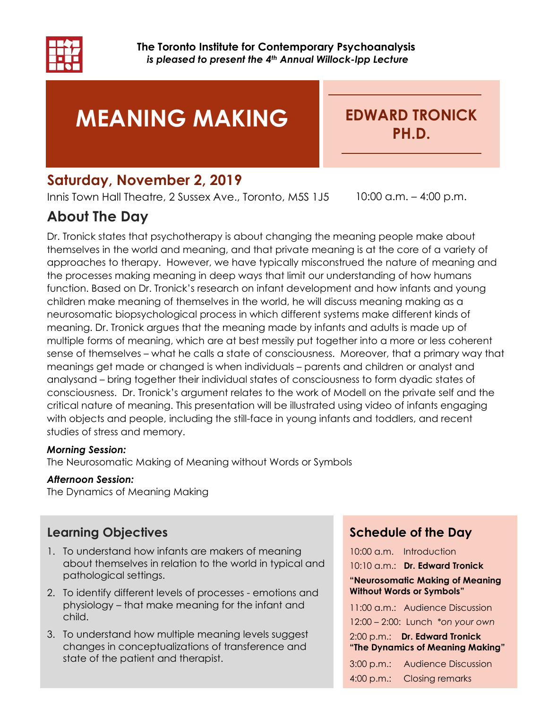

# MEANING MAKING

EDWARD TRONICK PH.D.

# Saturday, November 2, 2019

Innis Town Hall Theatre, 2 Sussex Ave., Toronto, M5S 1J5 10:00 a.m. - 4:00 p.m.

# About The Day

Dr. Tronick states that psychotherapy is about changing the meaning people make about themselves in the world and meaning, and that private meaning is at the core of a variety of approaches to therapy. However, we have typically misconstrued the nature of meaning and the processes making meaning in deep ways that limit our understanding of how humans function. Based on Dr. Tronick's research on infant development and how infants and young children make meaning of themselves in the world, he will discuss meaning making as a neurosomatic biopsychological process in which different systems make different kinds of meaning. Dr. Tronick argues that the meaning made by infants and adults is made up of multiple forms of meaning, which are at best messily put together into a more or less coherent sense of themselves – what he calls a state of consciousness. Moreover, that a primary way that meanings get made or changed is when individuals – parents and children or analyst and analysand – bring together their individual states of consciousness to form dyadic states of consciousness. Dr. Tronick's argument relates to the work of Modell on the private self and the critical nature of meaning. This presentation will be illustrated using video of infants engaging with objects and people, including the still-face in young infants and toddlers, and recent studies of stress and memory.

#### Morning Session:

The Neurosomatic Making of Meaning without Words or Symbols

#### Afternoon Session:

The Dynamics of Meaning Making

### Learning Objectives

- 1. To understand how infants are makers of meaning about themselves in relation to the world in typical and pathological settings.
- 2. To identify different levels of processes emotions and physiology – that make meaning for the infant and child.
- 3. To understand how multiple meaning levels suggest changes in conceptualizations of transference and state of the patient and therapist.

### Schedule of the Day

10:00 a.m. Introduction 10:10 a.m.: Dr. Edward Tronick "Neurosomatic Making of Meaning Without Words or Symbols" 11:00 a.m.: Audience Discussion 12:00 – 2:00: Lunch \*on your own 2:00 p.m.: Dr. Edward Tronick "The Dynamics of Meaning Making" 3:00 p.m.: Audience Discussion 4:00 p.m.: Closing remarks